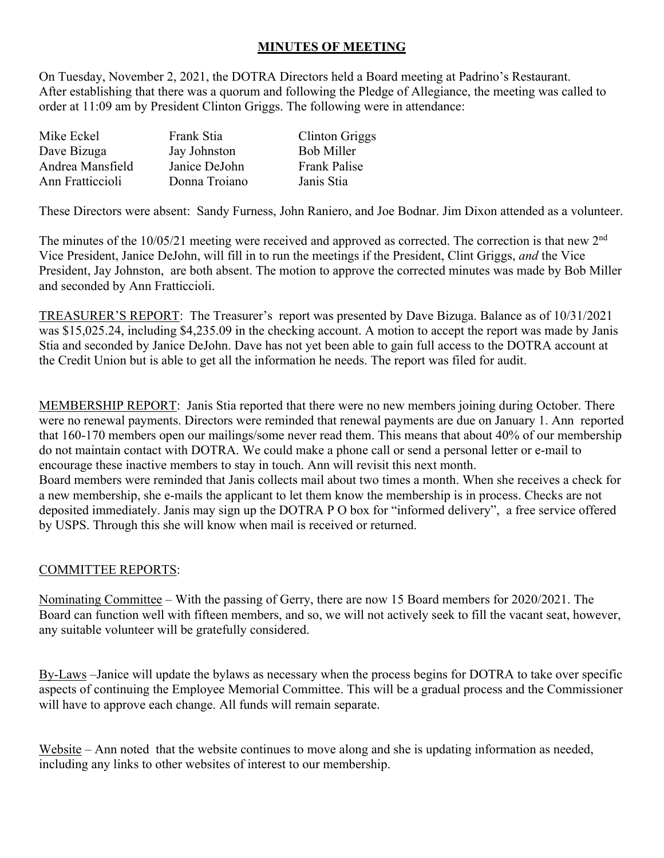## **MINUTES OF MEETING**

On Tuesday, November 2, 2021, the DOTRA Directors held a Board meeting at Padrino's Restaurant. After establishing that there was a quorum and following the Pledge of Allegiance, the meeting was called to order at 11:09 am by President Clinton Griggs. The following were in attendance:

| Mike Eckel       | Frank Stia    | <b>Clinton Griggs</b> |
|------------------|---------------|-----------------------|
| Dave Bizuga      | Jay Johnston  | <b>Bob Miller</b>     |
| Andrea Mansfield | Janice DeJohn | <b>Frank Palise</b>   |
| Ann Fratticcioli | Donna Troiano | Janis Stia            |

These Directors were absent: Sandy Furness, John Raniero, and Joe Bodnar. Jim Dixon attended as a volunteer.

The minutes of the 10/05/21 meeting were received and approved as corrected. The correction is that new 2<sup>nd</sup> Vice President, Janice DeJohn, will fill in to run the meetings if the President, Clint Griggs, *and* the Vice President, Jay Johnston, are both absent. The motion to approve the corrected minutes was made by Bob Miller and seconded by Ann Fratticcioli.

TREASURER'S REPORT: The Treasurer's report was presented by Dave Bizuga. Balance as of 10/31/2021 was \$15,025.24, including \$4,235.09 in the checking account. A motion to accept the report was made by Janis Stia and seconded by Janice DeJohn. Dave has not yet been able to gain full access to the DOTRA account at the Credit Union but is able to get all the information he needs. The report was filed for audit.

MEMBERSHIP REPORT: Janis Stia reported that there were no new members joining during October. There were no renewal payments. Directors were reminded that renewal payments are due on January 1. Ann reported that 160-170 members open our mailings/some never read them. This means that about 40% of our membership do not maintain contact with DOTRA. We could make a phone call or send a personal letter or e-mail to encourage these inactive members to stay in touch. Ann will revisit this next month. Board members were reminded that Janis collects mail about two times a month. When she receives a check for a new membership, she e-mails the applicant to let them know the membership is in process. Checks are not deposited immediately. Janis may sign up the DOTRA P O box for "informed delivery", a free service offered by USPS. Through this she will know when mail is received or returned.

## COMMITTEE REPORTS:

Nominating Committee – With the passing of Gerry, there are now 15 Board members for 2020/2021. The Board can function well with fifteen members, and so, we will not actively seek to fill the vacant seat, however, any suitable volunteer will be gratefully considered.

By-Laws –Janice will update the bylaws as necessary when the process begins for DOTRA to take over specific aspects of continuing the Employee Memorial Committee. This will be a gradual process and the Commissioner will have to approve each change. All funds will remain separate.

Website – Ann noted that the website continues to move along and she is updating information as needed, including any links to other websites of interest to our membership.